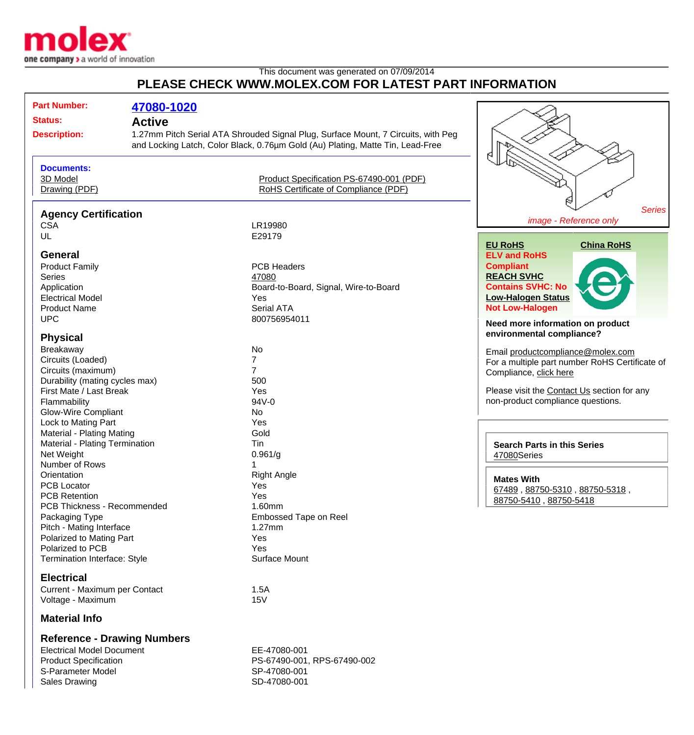

## This document was generated on 07/09/2014 **PLEASE CHECK WWW.MOLEX.COM FOR LATEST PART INFORMATION**

| <b>Part Number:</b>                            | 47080-1020    |                                                                                                                                                                     |                                                               |
|------------------------------------------------|---------------|---------------------------------------------------------------------------------------------------------------------------------------------------------------------|---------------------------------------------------------------|
| <b>Status:</b>                                 | <b>Active</b> |                                                                                                                                                                     |                                                               |
| <b>Description:</b>                            |               | 1.27mm Pitch Serial ATA Shrouded Signal Plug, Surface Mount, 7 Circuits, with Peg<br>and Locking Latch, Color Black, 0.76um Gold (Au) Plating, Matte Tin, Lead-Free |                                                               |
| <b>Documents:</b><br>3D Model<br>Drawing (PDF) |               | Product Specification PS-67490-001 (PDF)<br>RoHS Certificate of Compliance (PDF)                                                                                    |                                                               |
| <b>Agency Certification</b>                    |               |                                                                                                                                                                     | <b>Series</b>                                                 |
|                                                |               |                                                                                                                                                                     | image - Reference only                                        |
| <b>CSA</b>                                     |               | LR19980                                                                                                                                                             |                                                               |
| UL                                             |               | E29179                                                                                                                                                              | <b>EU RoHS</b><br><b>China RoHS</b>                           |
| <b>General</b>                                 |               |                                                                                                                                                                     | <b>ELV and RoHS</b>                                           |
| <b>Product Family</b>                          |               | <b>PCB Headers</b>                                                                                                                                                  | <b>Compliant</b>                                              |
| <b>Series</b>                                  |               | 47080                                                                                                                                                               | <b>REACH SVHC</b>                                             |
| Application                                    |               | Board-to-Board, Signal, Wire-to-Board                                                                                                                               | <b>Contains SVHC: No</b>                                      |
| <b>Electrical Model</b>                        |               | Yes                                                                                                                                                                 | <b>Low-Halogen Status</b>                                     |
| <b>Product Name</b>                            |               | Serial ATA                                                                                                                                                          | <b>Not Low-Halogen</b>                                        |
| <b>UPC</b>                                     |               | 800756954011                                                                                                                                                        |                                                               |
| <b>Physical</b>                                |               |                                                                                                                                                                     | Need more information on product<br>environmental compliance? |
| Breakaway                                      |               | No                                                                                                                                                                  |                                                               |
| Circuits (Loaded)                              |               |                                                                                                                                                                     | Email productcompliance@molex.com                             |
| Circuits (maximum)                             |               | 7                                                                                                                                                                   | For a multiple part number RoHS Certificate of                |
| Durability (mating cycles max)                 |               | 500                                                                                                                                                                 | Compliance, click here                                        |
| First Mate / Last Break                        |               | Yes                                                                                                                                                                 | Please visit the Contact Us section for any                   |
| Flammability                                   |               | 94V-0                                                                                                                                                               | non-product compliance questions.                             |
| <b>Glow-Wire Compliant</b>                     |               | No                                                                                                                                                                  |                                                               |
| Lock to Mating Part                            |               | Yes                                                                                                                                                                 |                                                               |
| Material - Plating Mating                      |               | Gold                                                                                                                                                                |                                                               |
| Material - Plating Termination                 |               | Tin                                                                                                                                                                 | <b>Search Parts in this Series</b>                            |
| Net Weight                                     |               | 0.961/g                                                                                                                                                             | 47080Series                                                   |
| Number of Rows                                 |               |                                                                                                                                                                     |                                                               |
| Orientation                                    |               | <b>Right Angle</b>                                                                                                                                                  | <b>Mates With</b>                                             |
| PCB Locator                                    |               | Yes                                                                                                                                                                 | 67489, 88750-5310, 88750-5318,                                |
| <b>PCB Retention</b>                           |               | Yes                                                                                                                                                                 | 88750-5410, 88750-5418                                        |
| PCB Thickness - Recommended                    |               | 1.60mm                                                                                                                                                              |                                                               |
| Packaging Type                                 |               | Embossed Tape on Reel                                                                                                                                               |                                                               |
| Pitch - Mating Interface                       |               | $1.27$ mm                                                                                                                                                           |                                                               |
| Polarized to Mating Part                       |               | Yes                                                                                                                                                                 |                                                               |
| Polarized to PCB                               |               | Yes                                                                                                                                                                 |                                                               |
| Termination Interface: Style                   |               | Surface Mount                                                                                                                                                       |                                                               |
| <b>Electrical</b>                              |               |                                                                                                                                                                     |                                                               |
| Current - Maximum per Contact                  |               | 1.5A                                                                                                                                                                |                                                               |
| Voltage - Maximum                              |               | 15V                                                                                                                                                                 |                                                               |
| <b>Material Info</b>                           |               |                                                                                                                                                                     |                                                               |
| <b>Reference - Drawing Numbers</b>             |               |                                                                                                                                                                     |                                                               |

Electrical Model Document EE-47080-001<br>Product Specification entries and PS-67490-001 S-Parameter Model SP-47080-001 Sales Drawing SD-47080-001

PS-67490-001, RPS-67490-002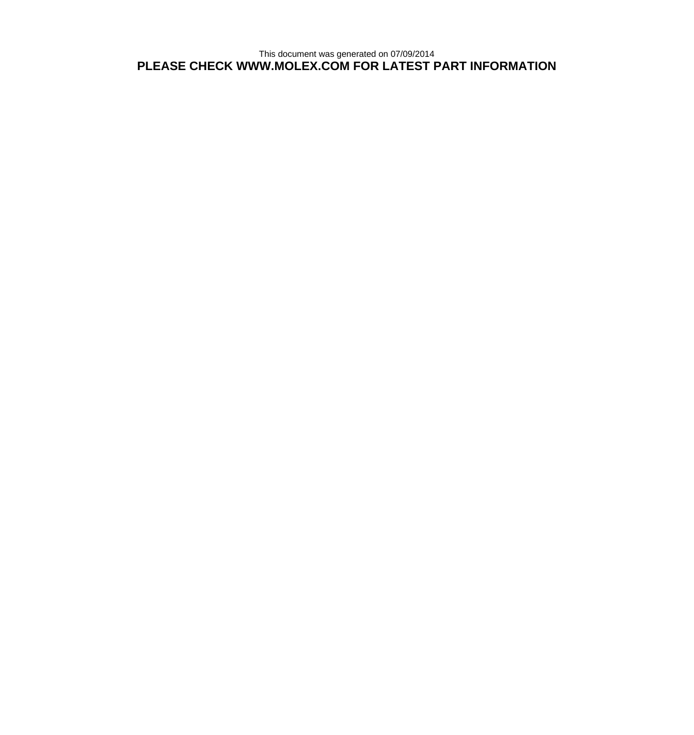This document was generated on 07/09/2014 **PLEASE CHECK WWW.MOLEX.COM FOR LATEST PART INFORMATION**